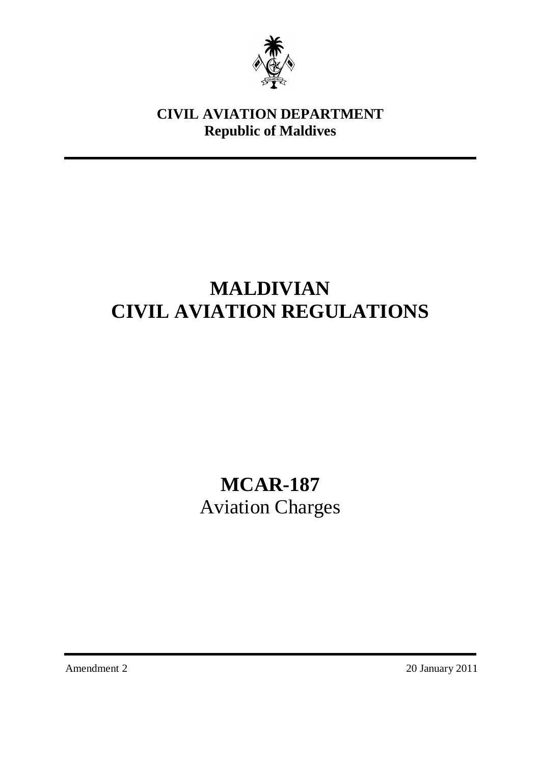

# **CIVIL AVIATION DEPARTMENT Republic of Maldives**

# **MALDIVIAN CIVIL AVIATION REGULATIONS**

**MCAR-187** Aviation Charges

Amendment 2 20 January 2011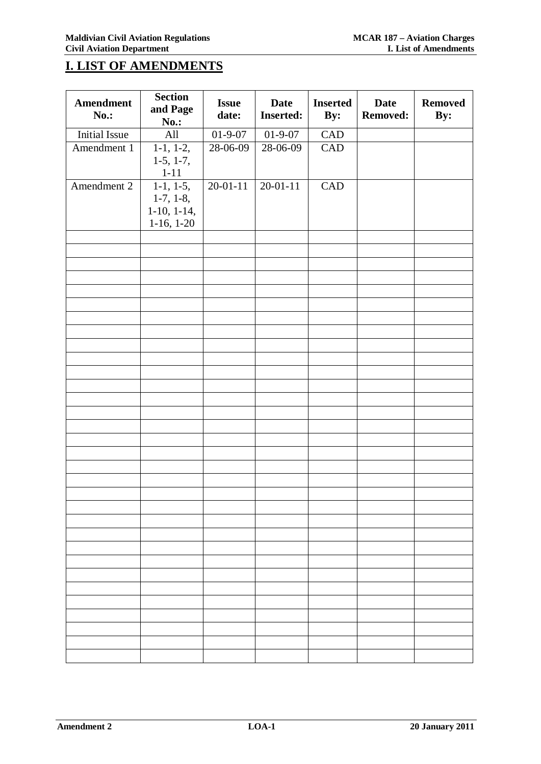# **I. LIST OF AMENDMENTS**

| <b>Amendment</b><br>No.: | <b>Section</b><br>and Page<br><b>No.:</b>                   | <b>Issue</b><br>date: | <b>Date</b><br><b>Inserted:</b> | <b>Inserted</b><br>By: | <b>Date</b><br><b>Removed:</b> | <b>Removed</b><br>By: |
|--------------------------|-------------------------------------------------------------|-----------------------|---------------------------------|------------------------|--------------------------------|-----------------------|
| <b>Initial Issue</b>     | All                                                         | $01 - 9 - 07$         | $01 - 9 - 07$                   | CAD                    |                                |                       |
| Amendment 1              | $1-1, 1-2,$<br>$1-5, 1-7,$<br>$1 - 11$                      | 28-06-09              | 28-06-09                        | CAD                    |                                |                       |
| Amendment 2              | $1-1, 1-5,$<br>$1-7, 1-8,$<br>$1-10, 1-14,$<br>$1-16, 1-20$ | $20 - 01 - 11$        | $20 - 01 - 11$                  | CAD                    |                                |                       |
|                          |                                                             |                       |                                 |                        |                                |                       |
|                          |                                                             |                       |                                 |                        |                                |                       |
|                          |                                                             |                       |                                 |                        |                                |                       |
|                          |                                                             |                       |                                 |                        |                                |                       |
|                          |                                                             |                       |                                 |                        |                                |                       |
|                          |                                                             |                       |                                 |                        |                                |                       |
|                          |                                                             |                       |                                 |                        |                                |                       |
|                          |                                                             |                       |                                 |                        |                                |                       |
|                          |                                                             |                       |                                 |                        |                                |                       |
|                          |                                                             |                       |                                 |                        |                                |                       |
|                          |                                                             |                       |                                 |                        |                                |                       |
|                          |                                                             |                       |                                 |                        |                                |                       |
|                          |                                                             |                       |                                 |                        |                                |                       |
|                          |                                                             |                       |                                 |                        |                                |                       |
|                          |                                                             |                       |                                 |                        |                                |                       |
|                          |                                                             |                       |                                 |                        |                                |                       |
|                          |                                                             |                       |                                 |                        |                                |                       |
|                          |                                                             |                       |                                 |                        |                                |                       |
|                          |                                                             |                       |                                 |                        |                                |                       |
|                          |                                                             |                       |                                 |                        |                                |                       |
|                          |                                                             |                       |                                 |                        |                                |                       |
|                          |                                                             |                       |                                 |                        |                                |                       |
|                          |                                                             |                       |                                 |                        |                                |                       |
|                          |                                                             |                       |                                 |                        |                                |                       |
|                          |                                                             |                       |                                 |                        |                                |                       |
|                          |                                                             |                       |                                 |                        |                                |                       |
|                          |                                                             |                       |                                 |                        |                                |                       |
|                          |                                                             |                       |                                 |                        |                                |                       |
|                          |                                                             |                       |                                 |                        |                                |                       |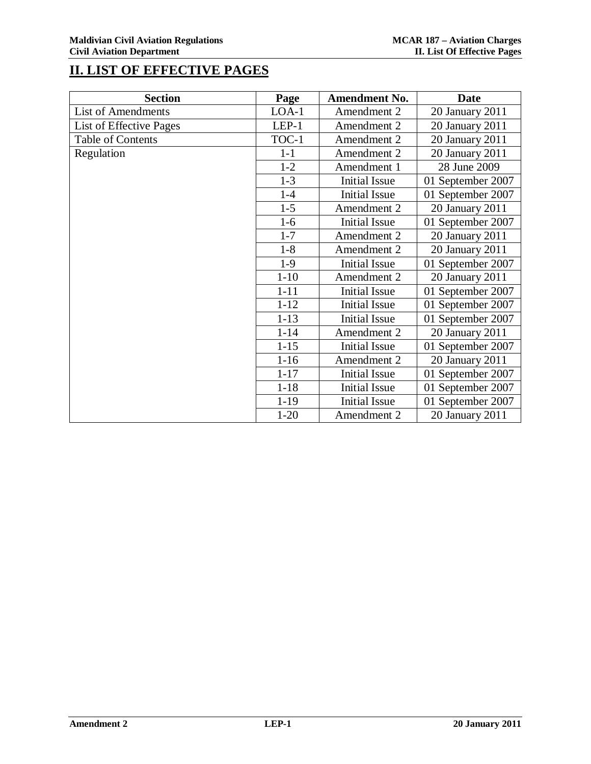# **II. LIST OF EFFECTIVE PAGES**

| <b>Section</b>            | Page     | <b>Amendment No.</b> | Date              |
|---------------------------|----------|----------------------|-------------------|
| <b>List of Amendments</b> | $LOA-1$  | Amendment 2          | 20 January 2011   |
| List of Effective Pages   | $LEP-1$  | Amendment 2          | 20 January 2011   |
| Table of Contents         | TOC-1    | Amendment 2          | 20 January 2011   |
| Regulation                | $1-1$    | Amendment 2          | 20 January 2011   |
|                           | $1 - 2$  | Amendment 1          | 28 June 2009      |
|                           | $1 - 3$  | <b>Initial Issue</b> | 01 September 2007 |
|                           | $1-4$    | <b>Initial Issue</b> | 01 September 2007 |
|                           | $1 - 5$  | Amendment 2          | 20 January 2011   |
|                           | $1-6$    | <b>Initial Issue</b> | 01 September 2007 |
|                           | $1 - 7$  | Amendment 2          | 20 January 2011   |
|                           | $1 - 8$  | Amendment 2          | 20 January 2011   |
|                           | $1-9$    | <b>Initial Issue</b> | 01 September 2007 |
|                           | $1 - 10$ | Amendment 2          | 20 January 2011   |
|                           | $1 - 11$ | <b>Initial Issue</b> | 01 September 2007 |
|                           | $1 - 12$ | <b>Initial Issue</b> | 01 September 2007 |
|                           | $1 - 13$ | <b>Initial Issue</b> | 01 September 2007 |
|                           | $1 - 14$ | Amendment 2          | 20 January 2011   |
|                           | $1 - 15$ | <b>Initial Issue</b> | 01 September 2007 |
|                           | $1 - 16$ | Amendment 2          | 20 January 2011   |
|                           | $1 - 17$ | <b>Initial Issue</b> | 01 September 2007 |
|                           | $1 - 18$ | <b>Initial Issue</b> | 01 September 2007 |
|                           | $1 - 19$ | <b>Initial Issue</b> | 01 September 2007 |
|                           | $1 - 20$ | Amendment 2          | 20 January 2011   |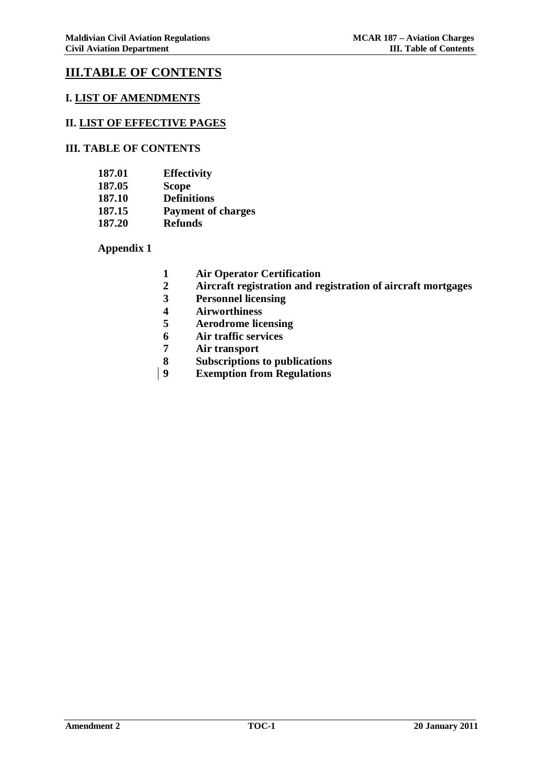# **III.TABLE OF CONTENTS**

### **I. LIST OF AMENDMENTS**

#### **II. LIST OF EFFECTIVE PAGES**

### **III. TABLE OF CONTENTS**

| 187.01 | <b>Effectivity</b>        |
|--------|---------------------------|
| 187.05 | <b>Scope</b>              |
| 187.10 | <b>Definitions</b>        |
| 187.15 | <b>Payment of charges</b> |
| 187.20 | <b>Refunds</b>            |

**Appendix 1**

- **1 Air Operator Certification**
- **2 Aircraft registration and registration of aircraft mortgages**
- **3 Personnel licensing**
- **4 Airworthiness**
- **5 Aerodrome licensing**
- **6 Air traffic services**
- **7 Air transport**
- **8 Subscriptions to publications**
- **9 Exemption from Regulations**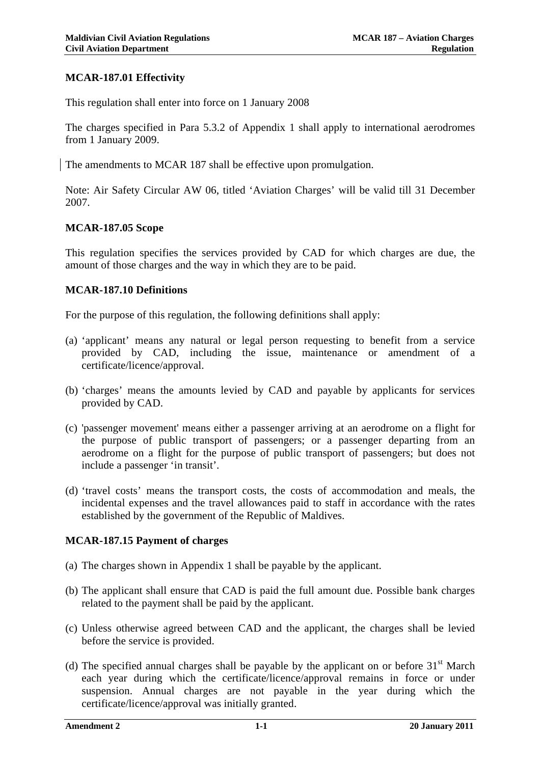### **MCAR-187.01 Effectivity**

This regulation shall enter into force on 1 January 2008

The charges specified in Para 5.3.2 of Appendix 1 shall apply to international aerodromes from 1 January 2009.

The amendments to MCAR 187 shall be effective upon promulgation.

Note: Air Safety Circular AW 06, titled 'Aviation Charges' will be valid till 31 December 2007.

### **MCAR-187.05 Scope**

This regulation specifies the services provided by CAD for which charges are due, the amount of those charges and the way in which they are to be paid.

### **MCAR-187.10 Definitions**

For the purpose of this regulation, the following definitions shall apply:

- (a) 'applicant' means any natural or legal person requesting to benefit from a service provided by CAD, including the issue, maintenance or amendment of a certificate/licence/approval.
- (b) 'charges' means the amounts levied by CAD and payable by applicants for services provided by CAD.
- (c) 'passenger movement' means either a passenger arriving at an aerodrome on a flight for the purpose of public transport of passengers; or a passenger departing from an aerodrome on a flight for the purpose of public transport of passengers; but does not include a passenger 'in transit'.
- (d) 'travel costs' means the transport costs, the costs of accommodation and meals, the incidental expenses and the travel allowances paid to staff in accordance with the rates established by the government of the Republic of Maldives.

# **MCAR-187.15 Payment of charges**

- (a) The charges shown in Appendix 1 shall be payable by the applicant.
- (b) The applicant shall ensure that CAD is paid the full amount due. Possible bank charges related to the payment shall be paid by the applicant.
- (c) Unless otherwise agreed between CAD and the applicant, the charges shall be levied before the service is provided.
- (d) The specified annual charges shall be payable by the applicant on or before  $31<sup>st</sup>$  March each year during which the certificate/licence/approval remains in force or under suspension. Annual charges are not payable in the year during which the certificate/licence/approval was initially granted.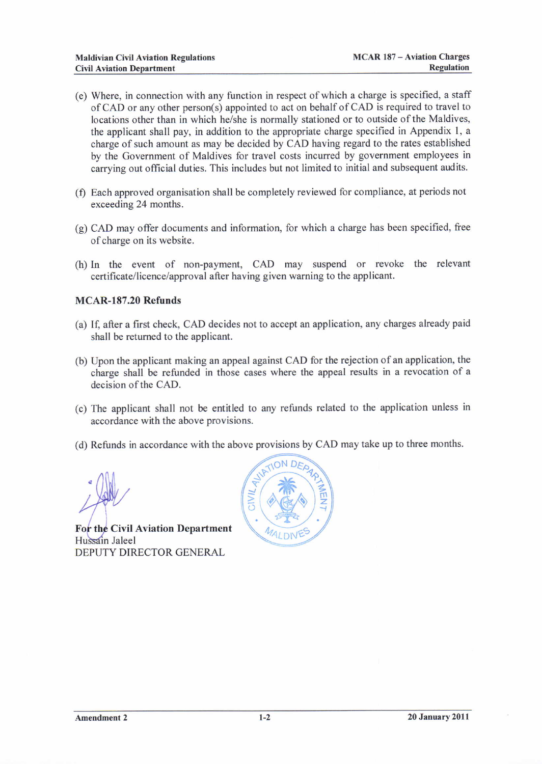- (e) Where, in connection with any function in respect of which a charge is specified, a staff ofCAD or any other person(s) appointed to act on behalfofCAD is required to travel to locations other than in which he/she is normally stationed or to outside of the Maldives, the applicant shall pay, in addition to the appropriate charge specified in Appendix l, <sup>a</sup> charge of such amount as may be decided by CAD having regard to the rates established by the Government of Maldives for travel costs incurred by government employees in carrying out official duties. This includes but not limited to initial and subsequent audits.
- (f) Each approved organisation shall be completely reviewed for compliance, at periods not exceeding 24 months.
- (g) CAD may offer documents and information, for which a charge has been specified, free ofcharge on its website.
- (h) In the event of non-payment, CAD may suspend or revoke the relevant certificate/licence/approval after having given warning to the applicant.

### MCAR-187.20 Refunds

- (a) lf, after a first check, CAD decides not to accept an application, any charges already paid shall be returned to the applicant.
- (b) Upon the applicant making an appeal against CAD for the rejection of an application, the charge shall be refunded in those cases where the appeal results in a revocation of <sup>a</sup> decision of the CAD.
- (c) The applicant shall not be entitled to any refunds related to the application unless in accordance with the above provisions.
- (d) Refunds in accordance with the above provisions by CAD may take up to three months.

For the Civil Aviation Department Hussain Jaleel DEPUTY DIRECTOR GENERAL

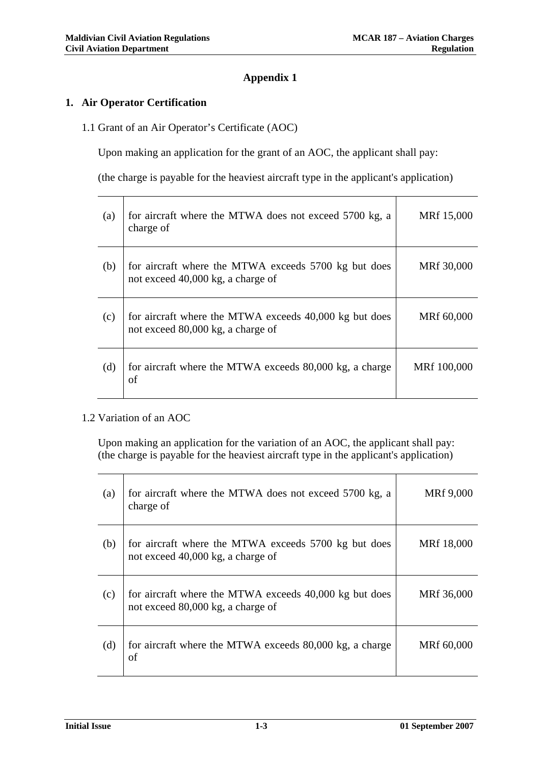# **Appendix 1**

### **1. Air Operator Certification**

1.1 Grant of an Air Operator's Certificate (AOC)

Upon making an application for the grant of an AOC, the applicant shall pay:

(the charge is payable for the heaviest aircraft type in the applicant's application)

| (a) | for aircraft where the MTWA does not exceed 5700 kg, a<br>charge of                         | MRf 15,000  |
|-----|---------------------------------------------------------------------------------------------|-------------|
| (b) | for aircraft where the MTWA exceeds 5700 kg but does<br>not exceed 40,000 kg, a charge of   | MRf 30,000  |
| (c) | for aircraft where the MTWA exceeds 40,000 kg but does<br>not exceed 80,000 kg, a charge of | MRf 60,000  |
| (d) | for aircraft where the MTWA exceeds 80,000 kg, a charge<br>of                               | MRf 100,000 |

### 1.2 Variation of an AOC

Upon making an application for the variation of an AOC, the applicant shall pay: (the charge is payable for the heaviest aircraft type in the applicant's application)

| (a) | for aircraft where the MTWA does not exceed 5700 kg, a<br>charge of                         | MRf 9,000  |
|-----|---------------------------------------------------------------------------------------------|------------|
| (b) | for aircraft where the MTWA exceeds 5700 kg but does<br>not exceed 40,000 kg, a charge of   | MRf 18,000 |
| (c) | for aircraft where the MTWA exceeds 40,000 kg but does<br>not exceed 80,000 kg, a charge of | MRf 36,000 |
| (d) | for aircraft where the MTWA exceeds 80,000 kg, a charge<br>οf                               | MRf 60,000 |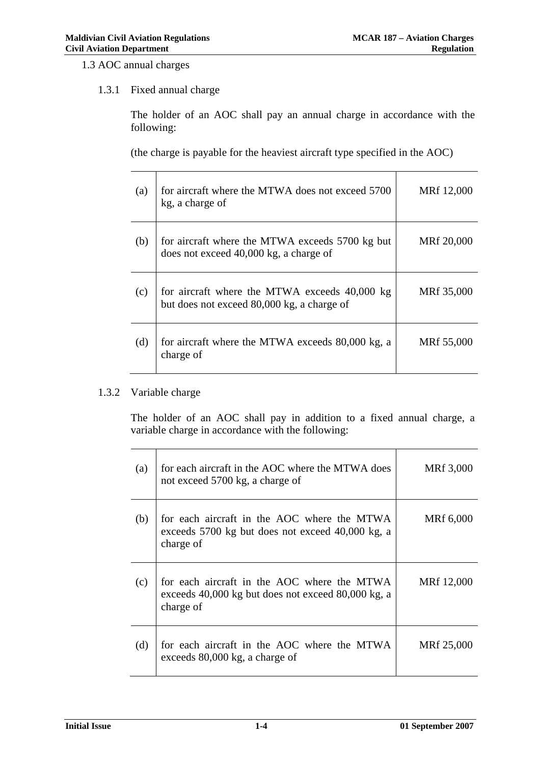1.3 AOC annual charges

# 1.3.1 Fixed annual charge

The holder of an AOC shall pay an annual charge in accordance with the following:

(the charge is payable for the heaviest aircraft type specified in the AOC)

| (a) | for aircraft where the MTWA does not exceed 5700<br>kg, a charge of                         | MRf 12,000 |
|-----|---------------------------------------------------------------------------------------------|------------|
| (b) | for aircraft where the MTWA exceeds 5700 kg but<br>does not exceed 40,000 kg, a charge of   | MRf 20,000 |
| (c) | for aircraft where the MTWA exceeds 40,000 kg<br>but does not exceed 80,000 kg, a charge of | MRf 35,000 |
| (d) | for aircraft where the MTWA exceeds 80,000 kg, a<br>charge of                               | MRf 55,000 |

### 1.3.2 Variable charge

The holder of an AOC shall pay in addition to a fixed annual charge, a variable charge in accordance with the following:

| (a) | for each aircraft in the AOC where the MTWA does<br>not exceed 5700 kg, a charge of                            | MRf 3,000  |
|-----|----------------------------------------------------------------------------------------------------------------|------------|
| (b) | for each aircraft in the AOC where the MTWA<br>exceeds 5700 kg but does not exceed 40,000 kg, a<br>charge of   | MRf 6,000  |
| (c) | for each aircraft in the AOC where the MTWA<br>exceeds 40,000 kg but does not exceed 80,000 kg, a<br>charge of | MRf 12,000 |
| (d) | for each aircraft in the AOC where the MTWA<br>exceeds 80,000 kg, a charge of                                  | MRf 25,000 |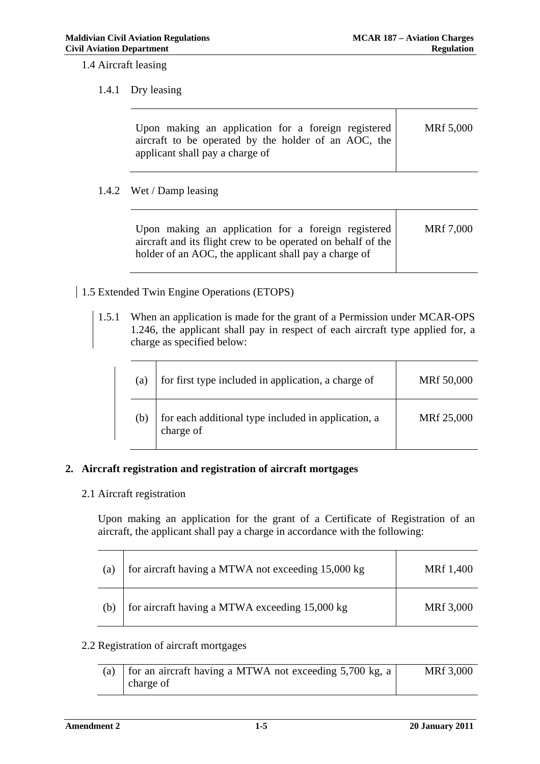1.4 Aircraft leasing

### 1.4.1 Dry leasing

| applicant shall pay a charge of | Upon making an application for a foreign registered<br>aircraft to be operated by the holder of an AOC, the | MRf 5,000 |
|---------------------------------|-------------------------------------------------------------------------------------------------------------|-----------|
|---------------------------------|-------------------------------------------------------------------------------------------------------------|-----------|

# 1.4.2 Wet / Damp leasing

# 1.5 Extended Twin Engine Operations (ETOPS)

1.5.1 When an application is made for the grant of a Permission under MCAR-OPS 1.246, the applicant shall pay in respect of each aircraft type applied for, a charge as specified below:

| (a) | for first type included in application, a charge of              | MRf 50,000 |
|-----|------------------------------------------------------------------|------------|
| (b) | for each additional type included in application, a<br>charge of | MRf 25,000 |

# **2. Aircraft registration and registration of aircraft mortgages**

# 2.1 Aircraft registration

Upon making an application for the grant of a Certificate of Registration of an aircraft, the applicant shall pay a charge in accordance with the following:

| (a) | for aircraft having a MTWA not exceeding 15,000 kg | MRf 1,400 |
|-----|----------------------------------------------------|-----------|
| (b) | for aircraft having a MTWA exceeding 15,000 kg     | MRf 3,000 |

# 2.2 Registration of aircraft mortgages

| (a) | for an aircraft having a MTWA not exceeding 5,700 kg, a | MRf 3,000 |
|-----|---------------------------------------------------------|-----------|
|     | charge of                                               |           |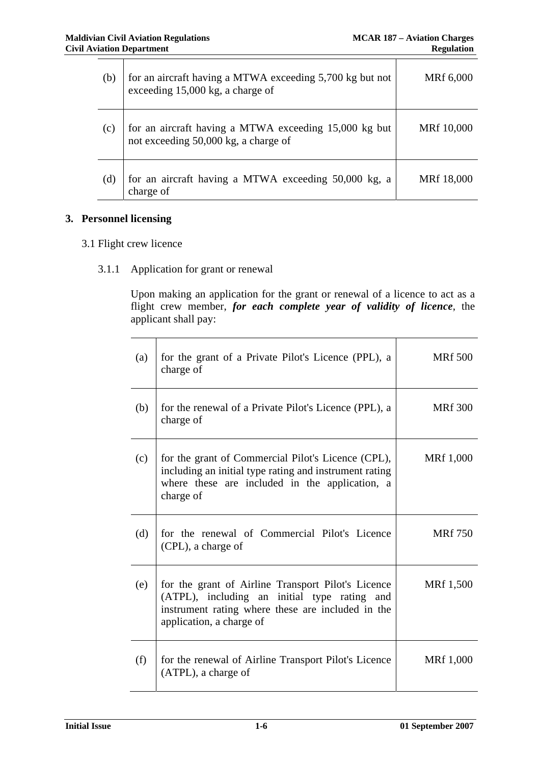| (b) | for an aircraft having a MTWA exceeding 5,700 kg but not<br>exceeding 15,000 kg, a charge of  | MRf 6,000  |
|-----|-----------------------------------------------------------------------------------------------|------------|
| (c) | for an aircraft having a MTWA exceeding 15,000 kg but<br>not exceeding 50,000 kg, a charge of | MRf 10,000 |
| (d) | for an aircraft having a MTWA exceeding 50,000 kg, a<br>charge of                             | MRf 18,000 |

# **3. Personnel licensing**

- 3.1 Flight crew licence
	- 3.1.1 Application for grant or renewal

Upon making an application for the grant or renewal of a licence to act as a flight crew member, *for each complete year of validity of licence*, the applicant shall pay:

| (a) | for the grant of a Private Pilot's Licence (PPL), a<br>charge of                                                                                                                    | <b>MRf 500</b> |
|-----|-------------------------------------------------------------------------------------------------------------------------------------------------------------------------------------|----------------|
| (b) | for the renewal of a Private Pilot's Licence (PPL), a<br>charge of                                                                                                                  | <b>MRf</b> 300 |
| (c) | for the grant of Commercial Pilot's Licence (CPL),<br>including an initial type rating and instrument rating<br>where these are included in the application, a<br>charge of         | MRf 1,000      |
| (d) | for the renewal of Commercial Pilot's Licence<br>(CPL), a charge of                                                                                                                 | <b>MRf</b> 750 |
| (e) | for the grant of Airline Transport Pilot's Licence<br>(ATPL), including an initial type rating and<br>instrument rating where these are included in the<br>application, a charge of | MRf 1,500      |
| (f) | for the renewal of Airline Transport Pilot's Licence<br>(ATPL), a charge of                                                                                                         | MRf 1,000      |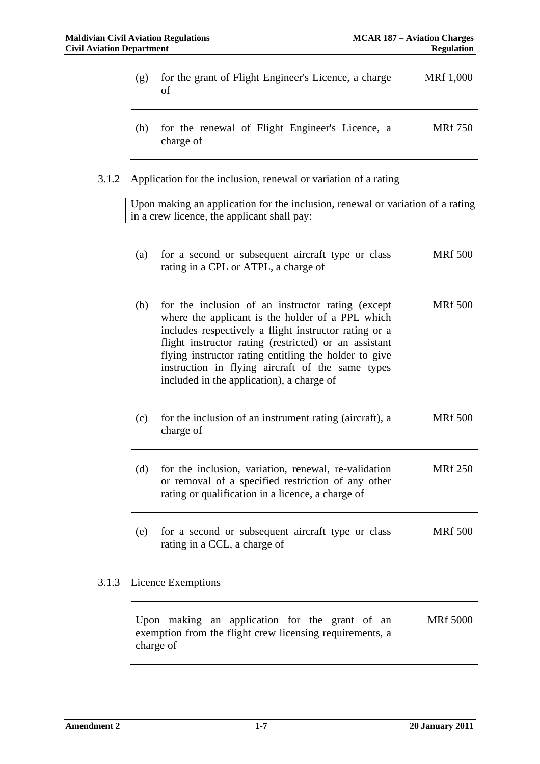| (g) | for the grant of Flight Engineer's Licence, a charge         | MRf 1,000      |
|-----|--------------------------------------------------------------|----------------|
| (h) | for the renewal of Flight Engineer's Licence, a<br>charge of | <b>MRf</b> 750 |

# 3.1.2 Application for the inclusion, renewal or variation of a rating

Upon making an application for the inclusion, renewal or variation of a rating in a crew licence, the applicant shall pay:

| (a) | for a second or subsequent aircraft type or class<br>rating in a CPL or ATPL, a charge of                                                                                                                                                                                                                                                                                         | <b>MRf</b> 500 |
|-----|-----------------------------------------------------------------------------------------------------------------------------------------------------------------------------------------------------------------------------------------------------------------------------------------------------------------------------------------------------------------------------------|----------------|
| (b) | for the inclusion of an instructor rating (except<br>where the applicant is the holder of a PPL which<br>includes respectively a flight instructor rating or a<br>flight instructor rating (restricted) or an assistant<br>flying instructor rating entitling the holder to give<br>instruction in flying aircraft of the same types<br>included in the application), a charge of | <b>MRf 500</b> |
| (c) | for the inclusion of an instrument rating (aircraft), a<br>charge of                                                                                                                                                                                                                                                                                                              | <b>MRf 500</b> |
| (d) | for the inclusion, variation, renewal, re-validation<br>or removal of a specified restriction of any other<br>rating or qualification in a licence, a charge of                                                                                                                                                                                                                   | <b>MRf</b> 250 |
| (e) | for a second or subsequent aircraft type or class<br>rating in a CCL, a charge of                                                                                                                                                                                                                                                                                                 | <b>MRf 500</b> |

# 3.1.3 Licence Exemptions

| Upon making an application for the grant of an<br>exemption from the flight crew licensing requirements, a<br>charge of | <b>MRf 5000</b> |
|-------------------------------------------------------------------------------------------------------------------------|-----------------|
|-------------------------------------------------------------------------------------------------------------------------|-----------------|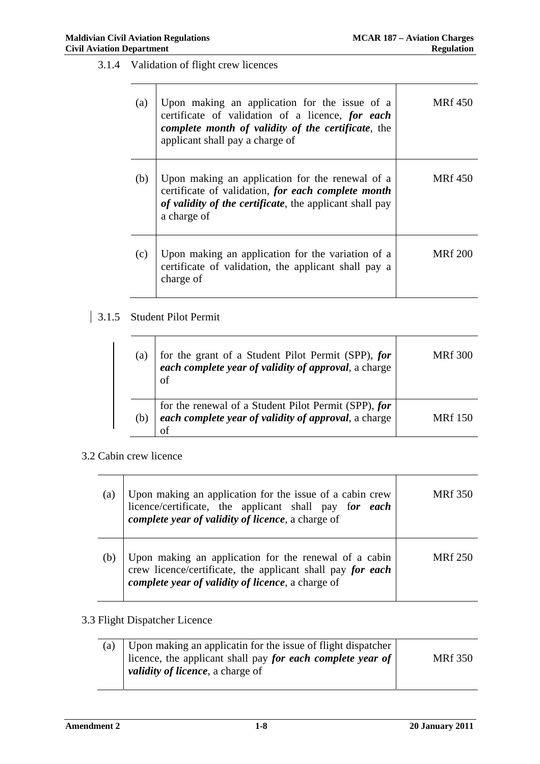3.1.4 Validation of flight crew licences

| (a) | Upon making an application for the issue of a<br>certificate of validation of a licence, for each<br>complete month of validity of the certificate, the<br>applicant shall pay a charge of | <b>MRf</b> 450 |
|-----|--------------------------------------------------------------------------------------------------------------------------------------------------------------------------------------------|----------------|
| (b) | Upon making an application for the renewal of a<br>certificate of validation, for each complete month<br><i>of validity of the certificate</i> , the applicant shall pay<br>a charge of    | MRf 450        |
| (c) | Upon making an application for the variation of a<br>certificate of validation, the applicant shall pay a<br>charge of                                                                     | <b>MRf</b> 200 |

# 3.1.5 Student Pilot Permit

| (a) | for the grant of a Student Pilot Permit (SPP), for<br>each complete year of validity of approval, a charge<br>οf   | <b>MRf</b> 300 |
|-----|--------------------------------------------------------------------------------------------------------------------|----------------|
| (b) | for the renewal of a Student Pilot Permit (SPP), for<br>each complete year of validity of approval, a charge<br>ΟŤ | <b>MRf</b> 150 |

# 3.2 Cabin crew licence

| (a) | Upon making an application for the issue of a cabin crew<br>licence/certificate, the applicant shall pay for each<br>complete year of validity of licence, a charge of   | MRf 350 |
|-----|--------------------------------------------------------------------------------------------------------------------------------------------------------------------------|---------|
|     | Upon making an application for the renewal of a cabin<br>crew licence/certificate, the applicant shall pay for each<br>complete year of validity of licence, a charge of | MR£250  |

# 3.3 Flight Dispatcher Licence

| Upon making an applicatin for the issue of flight dispatcher |                |
|--------------------------------------------------------------|----------------|
| licence, the applicant shall pay for each complete year of   | <b>MRf</b> 350 |
| <i>validity of licence</i> , a charge of                     |                |
|                                                              |                |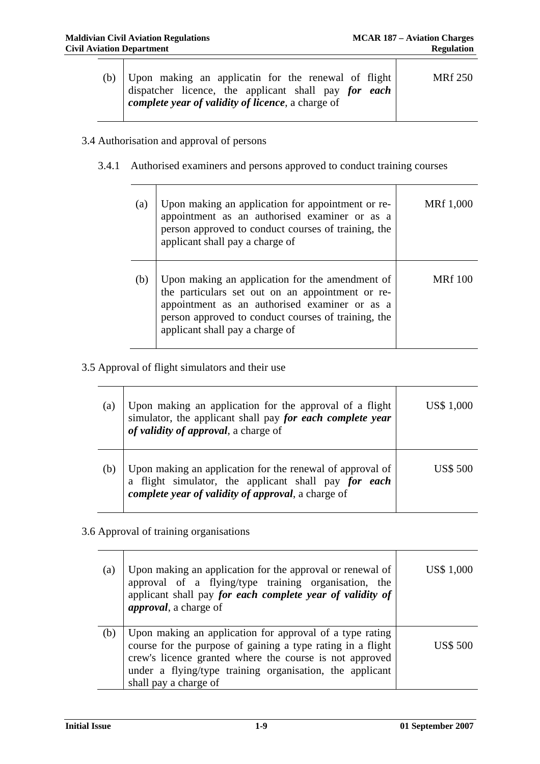┯

|  | (b) Upon making an applicatin for the renewal of flight<br>dispatcher licence, the applicant shall pay for each<br>complete year of validity of licence, a charge of | MRf 250 |
|--|----------------------------------------------------------------------------------------------------------------------------------------------------------------------|---------|
|--|----------------------------------------------------------------------------------------------------------------------------------------------------------------------|---------|

# 3.4 Authorisation and approval of persons

3.4.1 Authorised examiners and persons approved to conduct training courses

| (a) | Upon making an application for appointment or re-<br>appointment as an authorised examiner or as a<br>person approved to conduct courses of training, the<br>applicant shall pay a charge of                                                   | MRf 1,000      |
|-----|------------------------------------------------------------------------------------------------------------------------------------------------------------------------------------------------------------------------------------------------|----------------|
| (b) | Upon making an application for the amendment of<br>the particulars set out on an appointment or re-<br>appointment as an authorised examiner or as a<br>person approved to conduct courses of training, the<br>applicant shall pay a charge of | <b>MRf</b> 100 |

3.5 Approval of flight simulators and their use

| (a) | Upon making an application for the approval of a flight<br>simulator, the applicant shall pay <i>for each complete year</i><br>of validity of approval, a charge of       | US\$ 1,000 |
|-----|---------------------------------------------------------------------------------------------------------------------------------------------------------------------------|------------|
| (b) | Upon making an application for the renewal of approval of<br>a flight simulator, the applicant shall pay $for$ each<br>complete year of validity of approval, a charge of | US\$ 500   |

3.6 Approval of training organisations

 $\top$ 

| (a) | Upon making an application for the approval or renewal of<br>approval of a flying/type training organisation, the<br>applicant shall pay for each complete year of validity of<br><i>approval</i> , a charge of                                                         | US\$ 1,000      |
|-----|-------------------------------------------------------------------------------------------------------------------------------------------------------------------------------------------------------------------------------------------------------------------------|-----------------|
| (b) | Upon making an application for approval of a type rating<br>course for the purpose of gaining a type rating in a flight<br>crew's licence granted where the course is not approved<br>under a flying/type training organisation, the applicant<br>shall pay a charge of | <b>US\$ 500</b> |

<u> 1980 - Johann Stoff, deutscher Stoffen und der Stoffen und der Stoffen und der Stoffen und der Stoffen und der</u>

 $\top$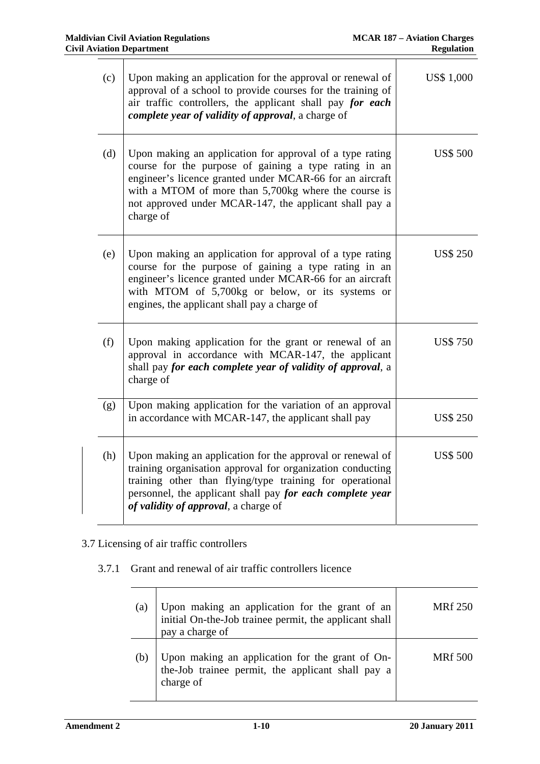| (c) | Upon making an application for the approval or renewal of<br>approval of a school to provide courses for the training of<br>air traffic controllers, the applicant shall pay for each<br>complete year of validity of approval, a charge of                                                                  | US\$ 1,000      |
|-----|--------------------------------------------------------------------------------------------------------------------------------------------------------------------------------------------------------------------------------------------------------------------------------------------------------------|-----------------|
| (d) | Upon making an application for approval of a type rating<br>course for the purpose of gaining a type rating in an<br>engineer's licence granted under MCAR-66 for an aircraft<br>with a MTOM of more than 5,700kg where the course is<br>not approved under MCAR-147, the applicant shall pay a<br>charge of | <b>US\$ 500</b> |
| (e) | Upon making an application for approval of a type rating<br>course for the purpose of gaining a type rating in an<br>engineer's licence granted under MCAR-66 for an aircraft<br>with MTOM of 5,700kg or below, or its systems or<br>engines, the applicant shall pay a charge of                            | <b>US\$ 250</b> |
| (f) | Upon making application for the grant or renewal of an<br>approval in accordance with MCAR-147, the applicant<br>shall pay for each complete year of validity of approval, a<br>charge of                                                                                                                    | <b>US\$750</b>  |
| (g) | Upon making application for the variation of an approval<br>in accordance with MCAR-147, the applicant shall pay                                                                                                                                                                                             | <b>US\$ 250</b> |
| (h) | Upon making an application for the approval or renewal of<br>training organisation approval for organization conducting<br>training other than flying/type training for operational<br>personnel, the applicant shall pay for each complete year<br>of validity of approval, a charge of                     | <b>US\$ 500</b> |

# 3.7 Licensing of air traffic controllers

# 3.7.1 Grant and renewal of air traffic controllers licence

| (a) | Upon making an application for the grant of an<br>initial On-the-Job trainee permit, the applicant shall<br>pay a charge of | <b>MRf</b> 250 |
|-----|-----------------------------------------------------------------------------------------------------------------------------|----------------|
|     | Upon making an application for the grant of On-<br>the-Job trainee permit, the applicant shall pay a<br>charge of           | <b>MRf</b> 500 |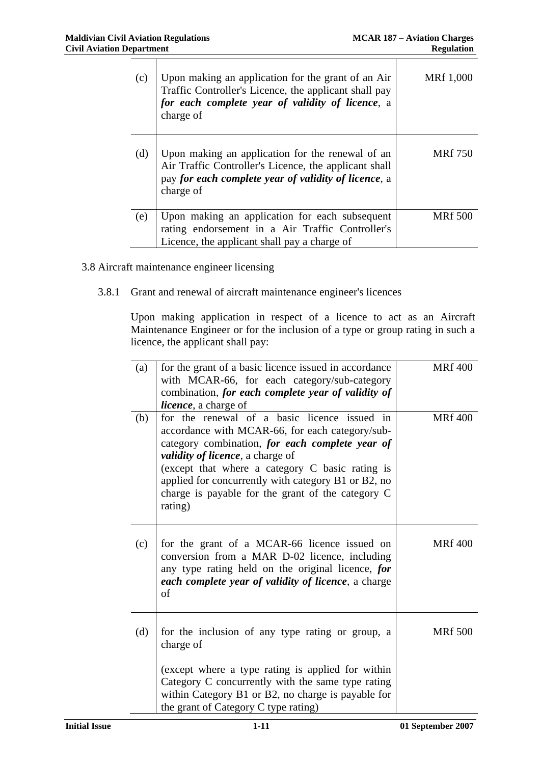| (c) | Upon making an application for the grant of an Air<br>Traffic Controller's Licence, the applicant shall pay<br>for each complete year of validity of licence, a<br>charge of   | MRf 1,000      |
|-----|--------------------------------------------------------------------------------------------------------------------------------------------------------------------------------|----------------|
| (d) | Upon making an application for the renewal of an<br>Air Traffic Controller's Licence, the applicant shall<br>pay for each complete year of validity of licence, a<br>charge of | <b>MRf</b> 750 |
| (e) | Upon making an application for each subsequent<br>rating endorsement in a Air Traffic Controller's<br>Licence, the applicant shall pay a charge of                             | <b>MRf 500</b> |

- 3.8 Aircraft maintenance engineer licensing
	- 3.8.1 Grant and renewal of aircraft maintenance engineer's licences

Upon making application in respect of a licence to act as an Aircraft Maintenance Engineer or for the inclusion of a type or group rating in such a licence, the applicant shall pay:

| (a) | for the grant of a basic licence issued in accordance<br>with MCAR-66, for each category/sub-category<br>combination, for each complete year of validity of<br>licence, a charge of                                                                                                                                                                                      | <b>MRf</b> 400 |
|-----|--------------------------------------------------------------------------------------------------------------------------------------------------------------------------------------------------------------------------------------------------------------------------------------------------------------------------------------------------------------------------|----------------|
| (b) | for the renewal of a basic licence issued in<br>accordance with MCAR-66, for each category/sub-<br>category combination, for each complete year of<br><i>validity of licence</i> , a charge of<br>(except that where a category C basic rating is<br>applied for concurrently with category B1 or B2, no<br>charge is payable for the grant of the category C<br>rating) | <b>MRf 400</b> |
| (c) | for the grant of a MCAR-66 licence issued on<br>conversion from a MAR D-02 licence, including<br>any type rating held on the original licence, for<br>each complete year of validity of licence, a charge<br>of                                                                                                                                                          | <b>MRf</b> 400 |
| (d) | for the inclusion of any type rating or group, a<br>charge of<br>(except where a type rating is applied for within<br>Category C concurrently with the same type rating<br>within Category B1 or B2, no charge is payable for<br>the grant of Category C type rating)                                                                                                    | <b>MRf 500</b> |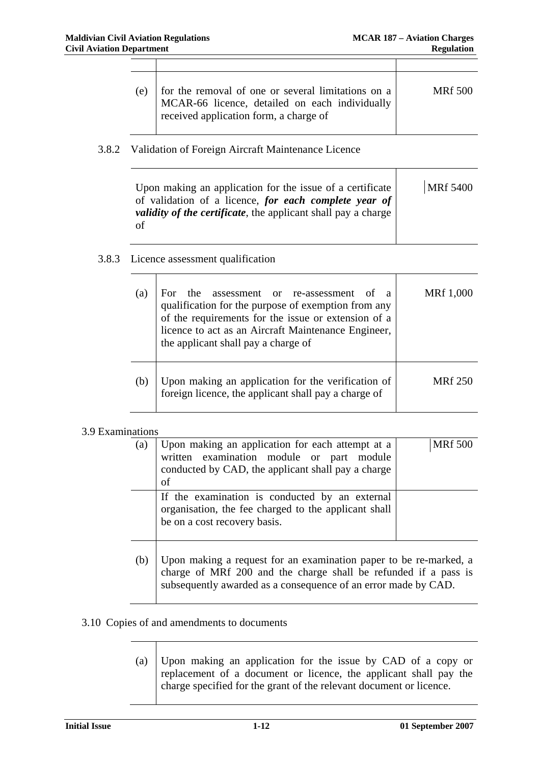Τ

 $\top$ 

| (e) | for the removal of one or several limitations on a<br>MCAR-66 licence, detailed on each individually<br>received application form, a charge of | <b>MRf 500</b> |
|-----|------------------------------------------------------------------------------------------------------------------------------------------------|----------------|

### 3.8.2 Validation of Foreign Aircraft Maintenance Licence

| Upon making an application for the issue of a certificate             | MRf 5400 |
|-----------------------------------------------------------------------|----------|
| of validation of a licence, for each complete year of                 |          |
| <i>validity of the certificate</i> , the applicant shall pay a charge |          |
| of                                                                    |          |

### 3.8.3 Licence assessment qualification

 $\top$ 

| (a) | the assessment or re-assessment<br>of a<br>For.<br>qualification for the purpose of exemption from any<br>of the requirements for the issue or extension of a<br>licence to act as an Aircraft Maintenance Engineer,<br>the applicant shall pay a charge of | MRf 1,000      |
|-----|-------------------------------------------------------------------------------------------------------------------------------------------------------------------------------------------------------------------------------------------------------------|----------------|
| (b) | Upon making an application for the verification of<br>foreign licence, the applicant shall pay a charge of                                                                                                                                                  | <b>MRf</b> 250 |

### 3.9 Examinations

| (a) | Upon making an application for each attempt at a<br>written examination module or part module<br>conducted by CAD, the applicant shall pay a charge<br>of                                              | <b>MRf 500</b> |
|-----|--------------------------------------------------------------------------------------------------------------------------------------------------------------------------------------------------------|----------------|
|     | If the examination is conducted by an external<br>organisation, the fee charged to the applicant shall<br>be on a cost recovery basis.                                                                 |                |
| (b) | Upon making a request for an examination paper to be re-marked, a<br>charge of MRf 200 and the charge shall be refunded if a pass is<br>subsequently awarded as a consequence of an error made by CAD. |                |

### 3.10 Copies of and amendments to documents

# (a) Upon making an application for the issue by CAD of a copy or replacement of a document or licence, the applicant shall pay the charge specified for the grant of the relevant document or licence.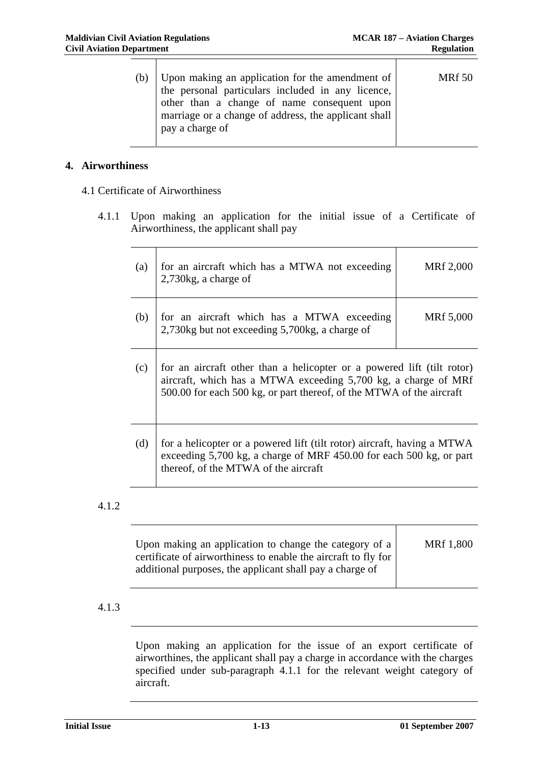┓

| (b) | Upon making an application for the amendment of  <br>the personal particulars included in any licence,<br>other than a change of name consequent upon<br>marriage or a change of address, the applicant shall<br>pay a charge of | <b>MRf 50</b> |
|-----|----------------------------------------------------------------------------------------------------------------------------------------------------------------------------------------------------------------------------------|---------------|
|     |                                                                                                                                                                                                                                  |               |

### **4. Airworthiness**

4.1 Certificate of Airworthiness

4.1.1 Upon making an application for the initial issue of a Certificate of Airworthiness, the applicant shall pay

| (a) | for an aircraft which has a MTWA not exceeding<br>$2,730$ kg, a charge of                                                                                                                                        | MRf 2,000 |
|-----|------------------------------------------------------------------------------------------------------------------------------------------------------------------------------------------------------------------|-----------|
| (b) | for an aircraft which has a MTWA exceeding<br>2,730kg but not exceeding 5,700kg, a charge of                                                                                                                     | MRf 5,000 |
| (c) | for an aircraft other than a helicopter or a powered lift (tilt rotor)<br>aircraft, which has a MTWA exceeding 5,700 kg, a charge of MRf<br>500.00 for each 500 kg, or part thereof, of the MTWA of the aircraft |           |
| (d) | for a helicopter or a powered lift (tilt rotor) aircraft, having a MTWA<br>exceeding 5,700 kg, a charge of MRF 450.00 for each 500 kg, or part<br>thereof, of the MTWA of the aircraft                           |           |

# 4.1.2

| Upon making an application to change the category of a<br>certificate of airworthiness to enable the aircraft to fly for | <b>MRf</b> 1,800 |
|--------------------------------------------------------------------------------------------------------------------------|------------------|
| additional purposes, the applicant shall pay a charge of                                                                 |                  |

# 4.1.3

Upon making an application for the issue of an export certificate of airworthines, the applicant shall pay a charge in accordance with the charges specified under sub-paragraph 4.1.1 for the relevant weight category of aircraft.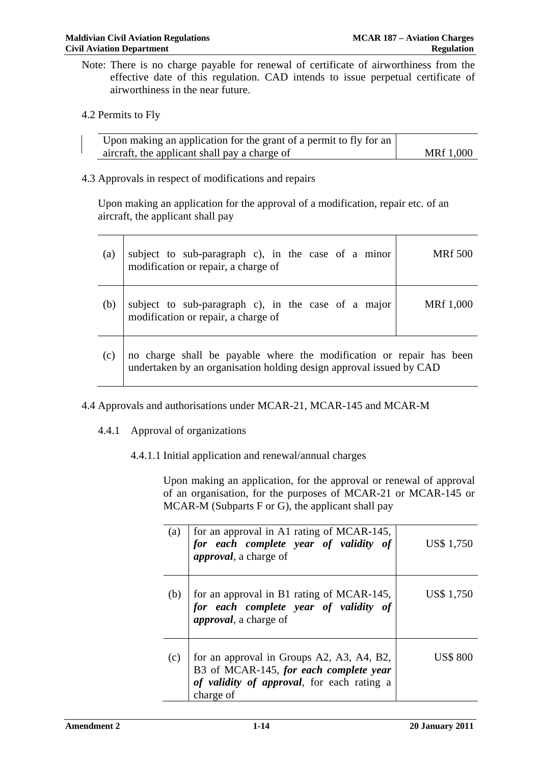Note: There is no charge payable for renewal of certificate of airworthiness from the effective date of this regulation. CAD intends to issue perpetual certificate of airworthiness in the near future.

### 4.2 Permits to Fly

| Upon making an application for the grant of a permit to fly for an |                  |
|--------------------------------------------------------------------|------------------|
| aircraft, the applicant shall pay a charge of                      | <b>MRf</b> 1,000 |

### 4.3 Approvals in respect of modifications and repairs

Upon making an application for the approval of a modification, repair etc. of an aircraft, the applicant shall pay

| (a) | subject to sub-paragraph c), in the case of a minor modification or repair, a charge of                                                     | <b>MRf</b> 500 |
|-----|---------------------------------------------------------------------------------------------------------------------------------------------|----------------|
| (b) | subject to sub-paragraph c), in the case of a major modification or repair, a charge of                                                     | MRf 1,000      |
| (c) | no charge shall be payable where the modification or repair has been<br>undertaken by an organisation holding design approval issued by CAD |                |

### 4.4 Approvals and authorisations under MCAR-21, MCAR-145 and MCAR-M

### 4.4.1 Approval of organizations

4.4.1.1 Initial application and renewal/annual charges

Upon making an application, for the approval or renewal of approval of an organisation, for the purposes of MCAR-21 or MCAR-145 or MCAR-M (Subparts F or G), the applicant shall pay

| (a) | for an approval in A1 rating of MCAR-145,<br>for each complete year of validity of<br>approval, a charge of                                    | US\$ 1,750      |
|-----|------------------------------------------------------------------------------------------------------------------------------------------------|-----------------|
| (b) | for an approval in B1 rating of MCAR-145,<br>for each complete year of validity of<br><i>approval</i> , a charge of                            | US\$ 1,750      |
| (c) | for an approval in Groups A2, A3, A4, B2,<br>B3 of MCAR-145, for each complete year<br>of validity of approval, for each rating a<br>charge of | <b>US\$ 800</b> |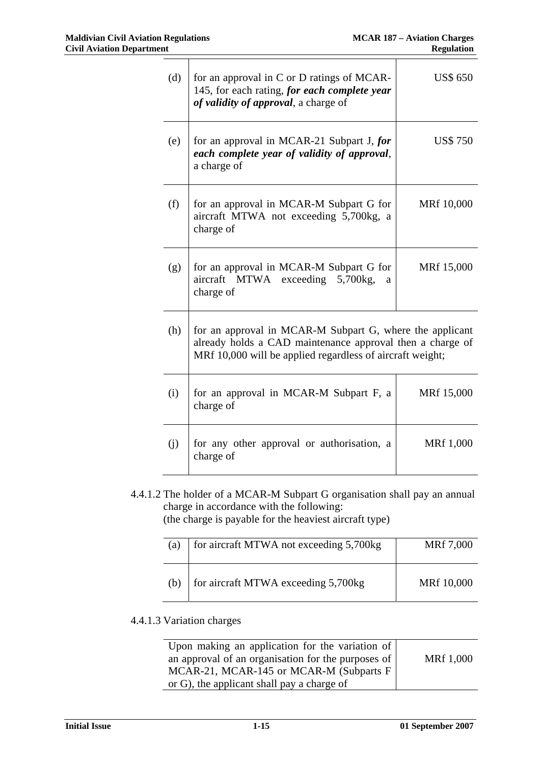| (d) | for an approval in C or D ratings of MCAR-<br>145, for each rating, for each complete year<br>of validity of approval, a charge of                                                 | <b>US\$ 650</b> |
|-----|------------------------------------------------------------------------------------------------------------------------------------------------------------------------------------|-----------------|
| (e) | for an approval in MCAR-21 Subpart J, for<br>each complete year of validity of approval,<br>a charge of                                                                            | <b>US\$750</b>  |
| (f) | for an approval in MCAR-M Subpart G for<br>aircraft MTWA not exceeding 5,700kg, a<br>charge of                                                                                     | MRf 10,000      |
| (g) | for an approval in MCAR-M Subpart G for<br>aircraft MTWA exceeding 5,700kg,<br>a<br>charge of                                                                                      | MRf 15,000      |
| (h) | for an approval in MCAR-M Subpart G, where the applicant<br>already holds a CAD maintenance approval then a charge of<br>MRf 10,000 will be applied regardless of aircraft weight; |                 |
| (i) | for an approval in MCAR-M Subpart F, a<br>charge of                                                                                                                                | MRf 15,000      |
| (i) | for any other approval or authorisation, a<br>charge of                                                                                                                            | MRf 1,000       |

4.4.1.2 The holder of a MCAR-M Subpart G organisation shall pay an annual charge in accordance with the following:

(the charge is payable for the heaviest aircraft type)

| (a) | for aircraft MTWA not exceeding 5,700kg | MRf 7,000  |
|-----|-----------------------------------------|------------|
| (b) | for aircraft MTWA exceeding 5,700kg     | MRf 10,000 |

# 4.4.1.3 Variation charges

| Upon making an application for the variation of    |           |
|----------------------------------------------------|-----------|
| an approval of an organisation for the purposes of | MRf 1,000 |
| MCAR-21, MCAR-145 or MCAR-M (Subparts F            |           |
| or G), the applicant shall pay a charge of         |           |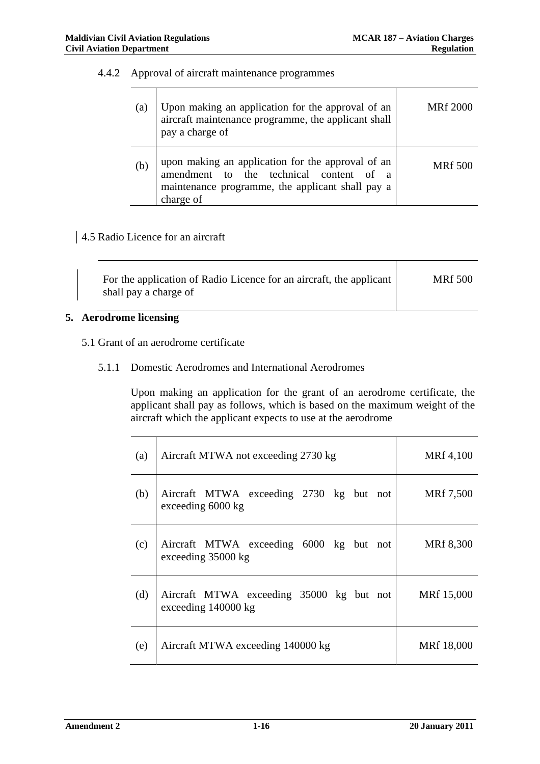### 4.4.2 Approval of aircraft maintenance programmes

| (a) | Upon making an application for the approval of an<br>aircraft maintenance programme, the applicant shall<br>pay a charge of                                   | <b>MRf</b> 2000 |
|-----|---------------------------------------------------------------------------------------------------------------------------------------------------------------|-----------------|
| (b) | upon making an application for the approval of an<br>amendment to the technical content of a<br>maintenance programme, the applicant shall pay a<br>charge of | <b>MRf</b> 500  |

# 4.5 Radio Licence for an aircraft

| For the application of Radio Licence for an aircraft, the applicant<br>shall pay a charge of | <b>MRf 500</b> |
|----------------------------------------------------------------------------------------------|----------------|
|                                                                                              |                |

### **5. Aerodrome licensing**

# 5.1 Grant of an aerodrome certificate

#### 5.1.1 Domestic Aerodromes and International Aerodromes

Upon making an application for the grant of an aerodrome certificate, the applicant shall pay as follows, which is based on the maximum weight of the aircraft which the applicant expects to use at the aerodrome

| (a) | Aircraft MTWA not exceeding 2730 kg                             | MRf 4,100  |
|-----|-----------------------------------------------------------------|------------|
| (b) | Aircraft MTWA exceeding 2730 kg but not<br>exceeding 6000 kg    | MRf 7,500  |
| (c) | Aircraft MTWA exceeding 6000 kg but not<br>exceeding 35000 kg   | MRf 8,300  |
| (d) | Aircraft MTWA exceeding 35000 kg but not<br>exceeding 140000 kg | MRf 15,000 |
| (e) | Aircraft MTWA exceeding 140000 kg                               | MRf 18,000 |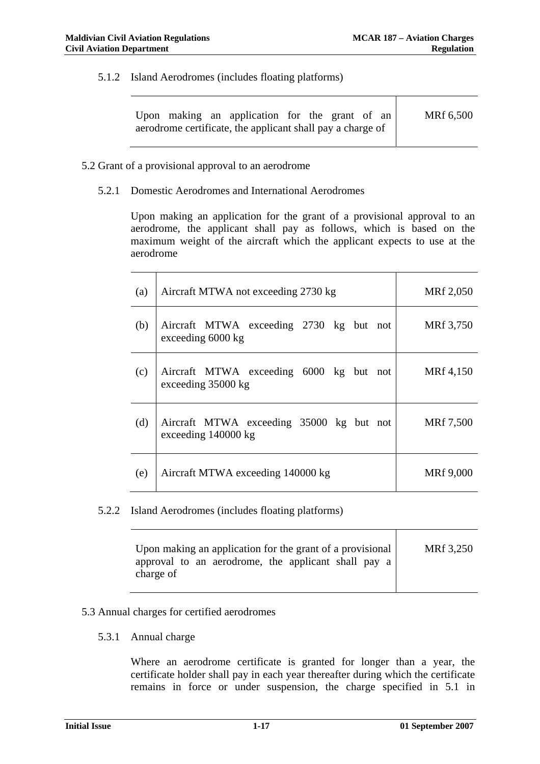5.1.2 Island Aerodromes (includes floating platforms)

| Upon making an application for the grant of an $\vert$     | MRf 6,500 |
|------------------------------------------------------------|-----------|
| aerodrome certificate, the applicant shall pay a charge of |           |

- 5.2 Grant of a provisional approval to an aerodrome
	- 5.2.1 Domestic Aerodromes and International Aerodromes

Upon making an application for the grant of a provisional approval to an aerodrome, the applicant shall pay as follows, which is based on the maximum weight of the aircraft which the applicant expects to use at the aerodrome

| (a) | Aircraft MTWA not exceeding 2730 kg                             | MRf 2,050 |
|-----|-----------------------------------------------------------------|-----------|
| (b) | Aircraft MTWA exceeding 2730 kg but not<br>exceeding 6000 kg    | MRf 3,750 |
| (c) | Aircraft MTWA exceeding 6000 kg but not<br>exceeding 35000 kg   | MRf 4,150 |
| (d) | Aircraft MTWA exceeding 35000 kg but not<br>exceeding 140000 kg | MRf 7,500 |
| (e) | Aircraft MTWA exceeding 140000 kg                               | MRf 9,000 |

5.2.2 Island Aerodromes (includes floating platforms)

| Upon making an application for the grant of a provisional        | MRf 3,250 |
|------------------------------------------------------------------|-----------|
| approval to an aerodrome, the applicant shall pay a<br>charge of |           |

### 5.3 Annual charges for certified aerodromes

5.3.1 Annual charge

Where an aerodrome certificate is granted for longer than a year, the certificate holder shall pay in each year thereafter during which the certificate remains in force or under suspension, the charge specified in 5.1 in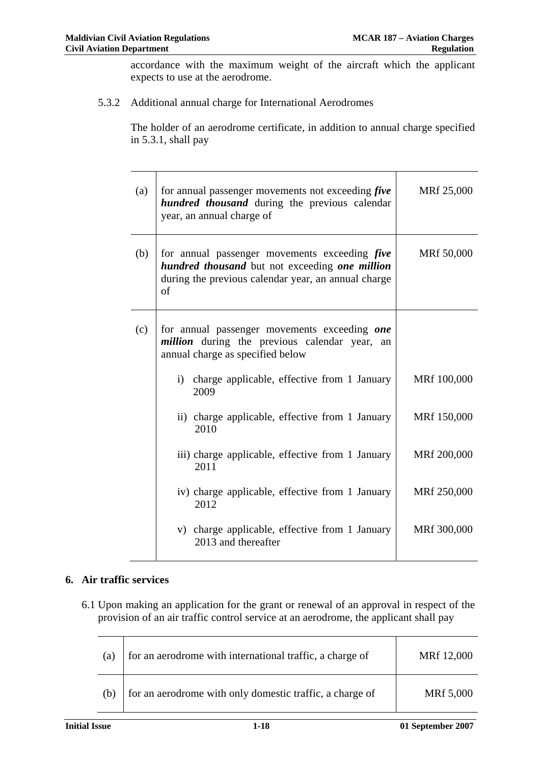accordance with the maximum weight of the aircraft which the applicant expects to use at the aerodrome.

5.3.2 Additional annual charge for International Aerodromes

The holder of an aerodrome certificate, in addition to annual charge specified in 5.3.1, shall pay

| (a) | for annual passenger movements not exceeding <i>five</i><br><i>hundred thousand</i> during the previous calendar<br>year, an annual charge of                               | MRf 25,000  |
|-----|-----------------------------------------------------------------------------------------------------------------------------------------------------------------------------|-------------|
| (b) | for annual passenger movements exceeding <i>five</i><br>hundred thousand but not exceeding one million<br>during the previous calendar year, an annual charge<br>$\sigma$ f | MRf 50,000  |
| (c) | for annual passenger movements exceeding one<br><i>million</i> during the previous calendar year,<br>an<br>annual charge as specified below                                 |             |
|     | i) charge applicable, effective from 1 January<br>2009                                                                                                                      | MRf 100,000 |
|     | ii) charge applicable, effective from 1 January<br>2010                                                                                                                     | MRf 150,000 |
|     | iii) charge applicable, effective from 1 January<br>2011                                                                                                                    | MRf 200,000 |
|     | iv) charge applicable, effective from 1 January<br>2012                                                                                                                     | MRf 250,000 |
|     | v) charge applicable, effective from 1 January<br>2013 and thereafter                                                                                                       | MRf 300,000 |

### **6. Air traffic services**

6.1 Upon making an application for the grant or renewal of an approval in respect of the provision of an air traffic control service at an aerodrome, the applicant shall pay

| (a) | for an aerodrome with international traffic, a charge of | MRf 12,000 |
|-----|----------------------------------------------------------|------------|
| (b) | for an aerodrome with only domestic traffic, a charge of | MRf 5,000  |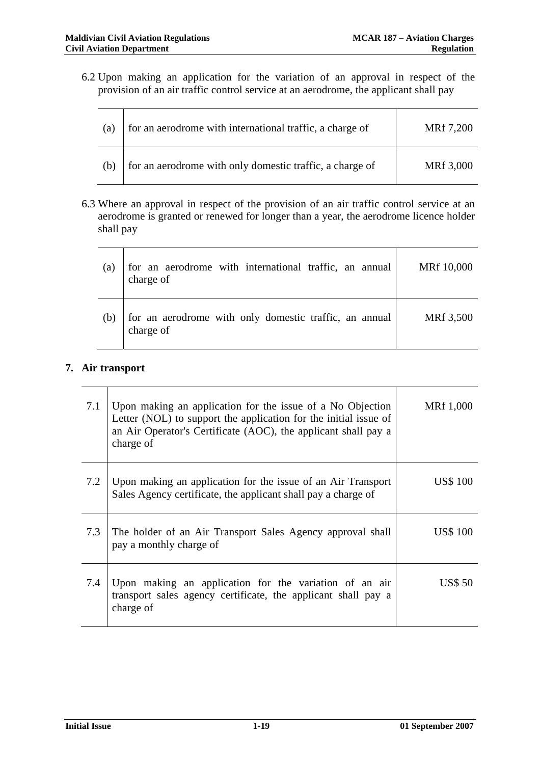6.2 Upon making an application for the variation of an approval in respect of the provision of an air traffic control service at an aerodrome, the applicant shall pay

| (a) | for an aerodrome with international traffic, a charge of | MRf 7,200 |
|-----|----------------------------------------------------------|-----------|
| (b) | for an aerodrome with only domestic traffic, a charge of | MRf 3,000 |

6.3 Where an approval in respect of the provision of an air traffic control service at an aerodrome is granted or renewed for longer than a year, the aerodrome licence holder shall pay

| (a) | for an aerodrome with international traffic, an annual<br>charge of | MRf 10,000 |
|-----|---------------------------------------------------------------------|------------|
| (b) | for an aerodrome with only domestic traffic, an annual<br>charge of | MRf 3,500  |

### **7. Air transport**

| 7.1 | Upon making an application for the issue of a No Objection<br>Letter (NOL) to support the application for the initial issue of<br>an Air Operator's Certificate (AOC), the applicant shall pay a<br>charge of | MRf 1,000       |
|-----|---------------------------------------------------------------------------------------------------------------------------------------------------------------------------------------------------------------|-----------------|
| 7.2 | Upon making an application for the issue of an Air Transport<br>Sales Agency certificate, the applicant shall pay a charge of                                                                                 | <b>US\$</b> 100 |
| 7.3 | The holder of an Air Transport Sales Agency approval shall<br>pay a monthly charge of                                                                                                                         | <b>US\$</b> 100 |
| 7.4 | Upon making an application for the variation of an air<br>transport sales agency certificate, the applicant shall pay a<br>charge of                                                                          | <b>US\$ 50</b>  |